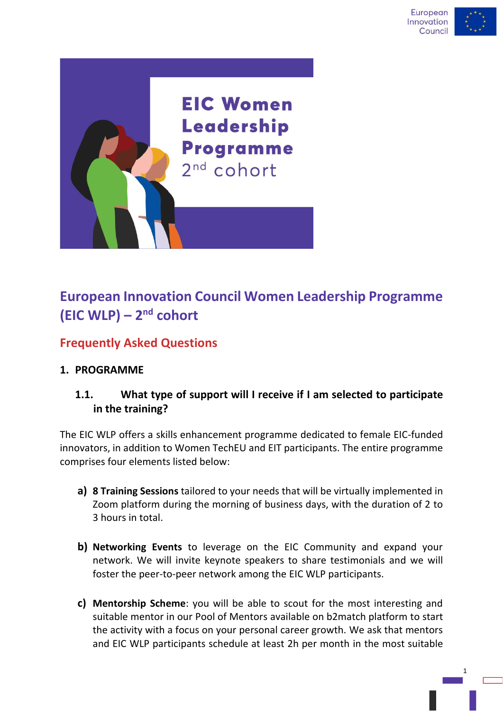

# **European Innovation Council Women Leadership Programme (EIC WLP) – 2 nd cohort**

## **Frequently Asked Questions**

## **1. PROGRAMME**

## **1.1. What type of support will I receive if I am selected to participate in the training?**

The EIC WLP offers a skills enhancement programme dedicated to female EIC-funded innovators, in addition to Women TechEU and EIT participants. The entire programme comprises four elements listed below:

- **a) 8 Training Sessions** tailored to your needs that will be virtually implemented in Zoom platform during the morning of business days, with the duration of 2 to 3 hours in total.
- **b) Networking Events** to leverage on the EIC Community and expand your network. We will invite keynote speakers to share testimonials and we will foster the peer-to-peer network among the EIC WLP participants.
- **c) Mentorship Scheme**: you will be able to scout for the most interesting and suitable mentor in our Pool of Mentors available on b2match platform to start the activity with a focus on your personal career growth. We ask that mentors and EIC WLP participants schedule at least 2h per month in the most suitable

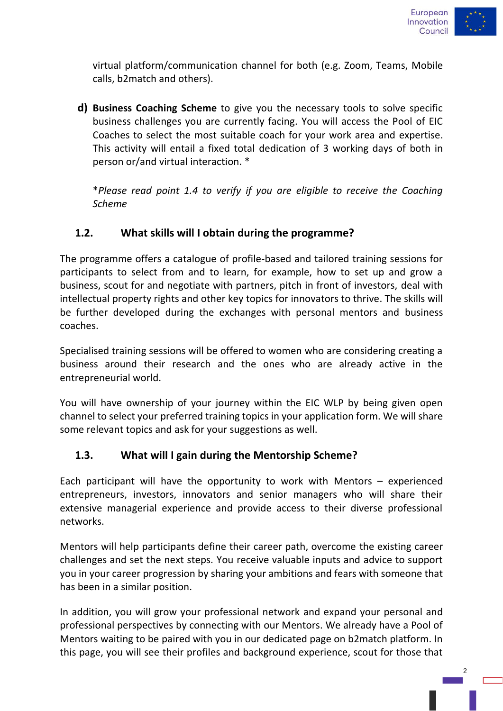

virtual platform/communication channel for both (e.g. Zoom, Teams, Mobile calls, b2match and others).

**d) Business Coaching Scheme** to give you the necessary tools to solve specific business challenges you are currently facing. You will access the Pool of EIC Coaches to select the most suitable coach for your work area and expertise. This activity will entail a fixed total dedication of 3 working days of both in person or/and virtual interaction. \*

\**Please read point 1.4 to verify if you are eligible to receive the Coaching Scheme*

#### **1.2. What skills will I obtain during the programme?**

The programme offers a catalogue of profile-based and tailored training sessions for participants to select from and to learn, for example, how to set up and grow a business, scout for and negotiate with partners, pitch in front of investors, deal with intellectual property rights and other key topics for innovators to thrive. The skills will be further developed during the exchanges with personal mentors and business coaches.

Specialised training sessions will be offered to women who are considering creating a business around their research and the ones who are already active in the entrepreneurial world.

You will have ownership of your journey within the EIC WLP by being given open channel to select your preferred training topics in your application form. We will share some relevant topics and ask for your suggestions as well.

#### **1.3. What will I gain during the Mentorship Scheme?**

Each participant will have the opportunity to work with Mentors – experienced entrepreneurs, investors, innovators and senior managers who will share their extensive managerial experience and provide access to their diverse professional networks.

Mentors will help participants define their career path, overcome the existing career challenges and set the next steps. You receive valuable inputs and advice to support you in your career progression by sharing your ambitions and fears with someone that has been in a similar position.

In addition, you will grow your professional network and expand your personal and professional perspectives by connecting with our Mentors. We already have a Pool of Mentors waiting to be paired with you in our dedicated page on b2match platform. In this page, you will see their profiles and background experience, scout for those that

 $\overline{2}$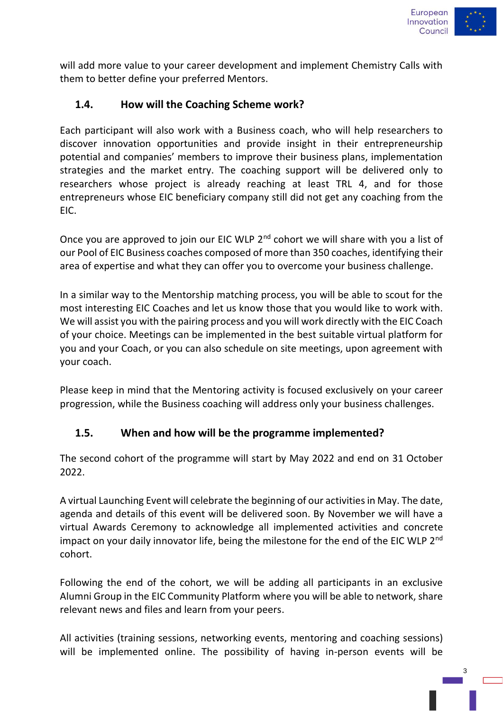

will add more value to your career development and implement Chemistry Calls with them to better define your preferred Mentors.

#### **1.4. How will the Coaching Scheme work?**

Each participant will also work with a Business coach, who will help researchers to discover innovation opportunities and provide insight in their entrepreneurship potential and companies' members to improve their business plans, implementation strategies and the market entry. The coaching support will be delivered only to researchers whose project is already reaching at least TRL 4, and for those entrepreneurs whose EIC beneficiary company still did not get any coaching from the EIC.

Once you are approved to join our EIC WLP 2<sup>nd</sup> cohort we will share with you a list of our Pool of EIC Business coaches composed of more than 350 coaches, identifying their area of expertise and what they can offer you to overcome your business challenge.

In a similar way to the Mentorship matching process, you will be able to scout for the most interesting EIC Coaches and let us know those that you would like to work with. We will assist you with the pairing process and you will work directly with the EIC Coach of your choice. Meetings can be implemented in the best suitable virtual platform for you and your Coach, or you can also schedule on site meetings, upon agreement with your coach.

Please keep in mind that the Mentoring activity is focused exclusively on your career progression, while the Business coaching will address only your business challenges.

#### **1.5. When and how will be the programme implemented?**

The second cohort of the programme will start by May 2022 and end on 31 October 2022.

A virtual Launching Event will celebrate the beginning of our activitiesin May. The date, agenda and details of this event will be delivered soon. By November we will have a virtual Awards Ceremony to acknowledge all implemented activities and concrete impact on your daily innovator life, being the milestone for the end of the EIC WLP 2<sup>nd</sup> cohort.

Following the end of the cohort, we will be adding all participants in an exclusive Alumni Group in the EIC Community Platform where you will be able to network, share relevant news and files and learn from your peers.

All activities (training sessions, networking events, mentoring and coaching sessions) will be implemented online. The possibility of having in-person events will be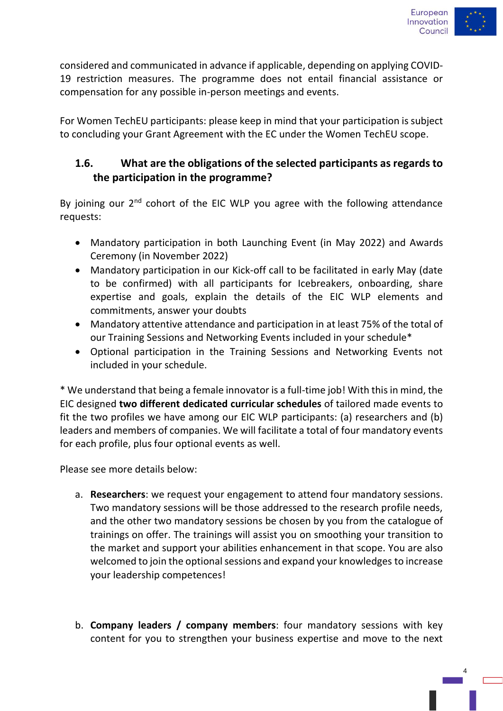

considered and communicated in advance if applicable, depending on applying COVID-19 restriction measures. The programme does not entail financial assistance or compensation for any possible in-person meetings and events.

For Women TechEU participants: please keep in mind that your participation is subject to concluding your Grant Agreement with the EC under the Women TechEU scope.

## **1.6. What are the obligations of the selected participants as regards to the participation in the programme?**

By joining our 2<sup>nd</sup> cohort of the EIC WLP you agree with the following attendance requests:

- Mandatory participation in both Launching Event (in May 2022) and Awards Ceremony (in November 2022)
- Mandatory participation in our Kick-off call to be facilitated in early May (date to be confirmed) with all participants for Icebreakers, onboarding, share expertise and goals, explain the details of the EIC WLP elements and commitments, answer your doubts
- Mandatory attentive attendance and participation in at least 75% of the total of our Training Sessions and Networking Events included in your schedule\*
- Optional participation in the Training Sessions and Networking Events not included in your schedule.

\* We understand that being a female innovator is a full-time job! With this in mind, the EIC designed **two different dedicated curricular schedules** of tailored made events to fit the two profiles we have among our EIC WLP participants: (a) researchers and (b) leaders and members of companies. We will facilitate a total of four mandatory events for each profile, plus four optional events as well.

Please see more details below:

- a. **Researchers**: we request your engagement to attend four mandatory sessions. Two mandatory sessions will be those addressed to the research profile needs, and the other two mandatory sessions be chosen by you from the catalogue of trainings on offer. The trainings will assist you on smoothing your transition to the market and support your abilities enhancement in that scope. You are also welcomed to join the optional sessions and expand your knowledges to increase your leadership competences!
- b. **Company leaders / company members**: four mandatory sessions with key content for you to strengthen your business expertise and move to the next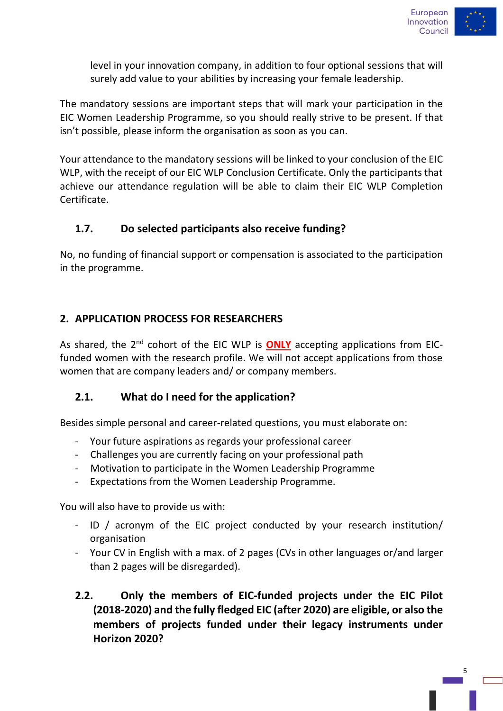

level in your innovation company, in addition to four optional sessions that will surely add value to your abilities by increasing your female leadership.

The mandatory sessions are important steps that will mark your participation in the EIC Women Leadership Programme, so you should really strive to be present. If that isn't possible, please inform the organisation as soon as you can.

Your attendance to the mandatory sessions will be linked to your conclusion of the EIC WLP, with the receipt of our EIC WLP Conclusion Certificate. Only the participants that achieve our attendance regulation will be able to claim their EIC WLP Completion Certificate.

#### **1.7. Do selected participants also receive funding?**

No, no funding of financial support or compensation is associated to the participation in the programme.

#### **2. APPLICATION PROCESS FOR RESEARCHERS**

As shared, the 2<sup>nd</sup> cohort of the EIC WLP is **ONLY** accepting applications from EICfunded women with the research profile. We will not accept applications from those women that are company leaders and/ or company members.

#### **2.1. What do I need for the application?**

Besides simple personal and career-related questions, you must elaborate on:

- Your future aspirations as regards your professional career
- Challenges you are currently facing on your professional path
- Motivation to participate in the Women Leadership Programme
- Expectations from the Women Leadership Programme.

You will also have to provide us with:

- ID / acronym of the EIC project conducted by your research institution/ organisation
- Your CV in English with a max. of 2 pages (CVs in other languages or/and larger than 2 pages will be disregarded).
- **2.2. Only the members of EIC-funded projects under the EIC Pilot (2018-2020) and the fully fledged EIC (after 2020) are eligible, or also the members of projects funded under their legacy instruments under Horizon 2020?**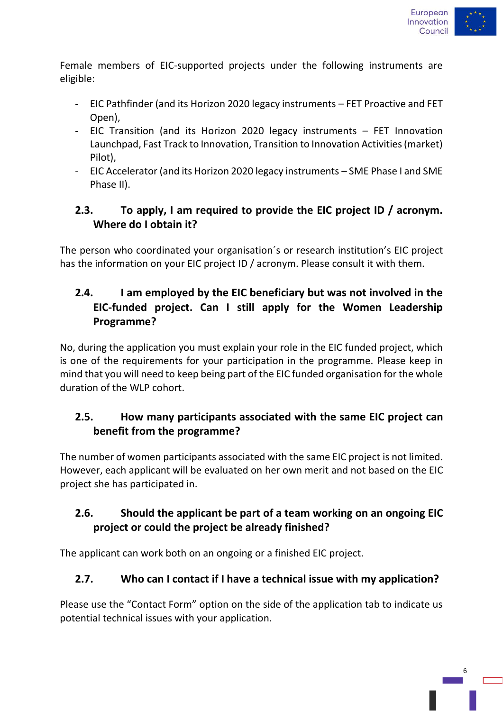

Female members of EIC-supported projects under the following instruments are eligible:

- EIC Pathfinder (and its Horizon 2020 legacy instruments FET Proactive and FET Open),
- EIC Transition (and its Horizon 2020 legacy instruments FET Innovation Launchpad, Fast Track to Innovation, Transition to Innovation Activities (market) Pilot),
- EIC Accelerator (and its Horizon 2020 legacy instruments SME Phase I and SME Phase II).

## **2.3. To apply, I am required to provide the EIC project ID / acronym. Where do I obtain it?**

The person who coordinated your organisation´s or research institution's EIC project has the information on your EIC project ID / acronym. Please consult it with them.

## **2.4. I am employed by the EIC beneficiary but was not involved in the EIC-funded project. Can I still apply for the Women Leadership Programme?**

No, during the application you must explain your role in the EIC funded project, which is one of the requirements for your participation in the programme. Please keep in mind that you will need to keep being part of the EIC funded organisation for the whole duration of the WLP cohort.

## **2.5. How many participants associated with the same EIC project can benefit from the programme?**

The number of women participants associated with the same EIC project is not limited. However, each applicant will be evaluated on her own merit and not based on the EIC project she has participated in.

## **2.6. Should the applicant be part of a team working on an ongoing EIC project or could the project be already finished?**

The applicant can work both on an ongoing or a finished EIC project.

## **2.7. Who can I contact if I have a technical issue with my application?**

Please use the "Contact Form" option on the side of the application tab to indicate us potential technical issues with your application.